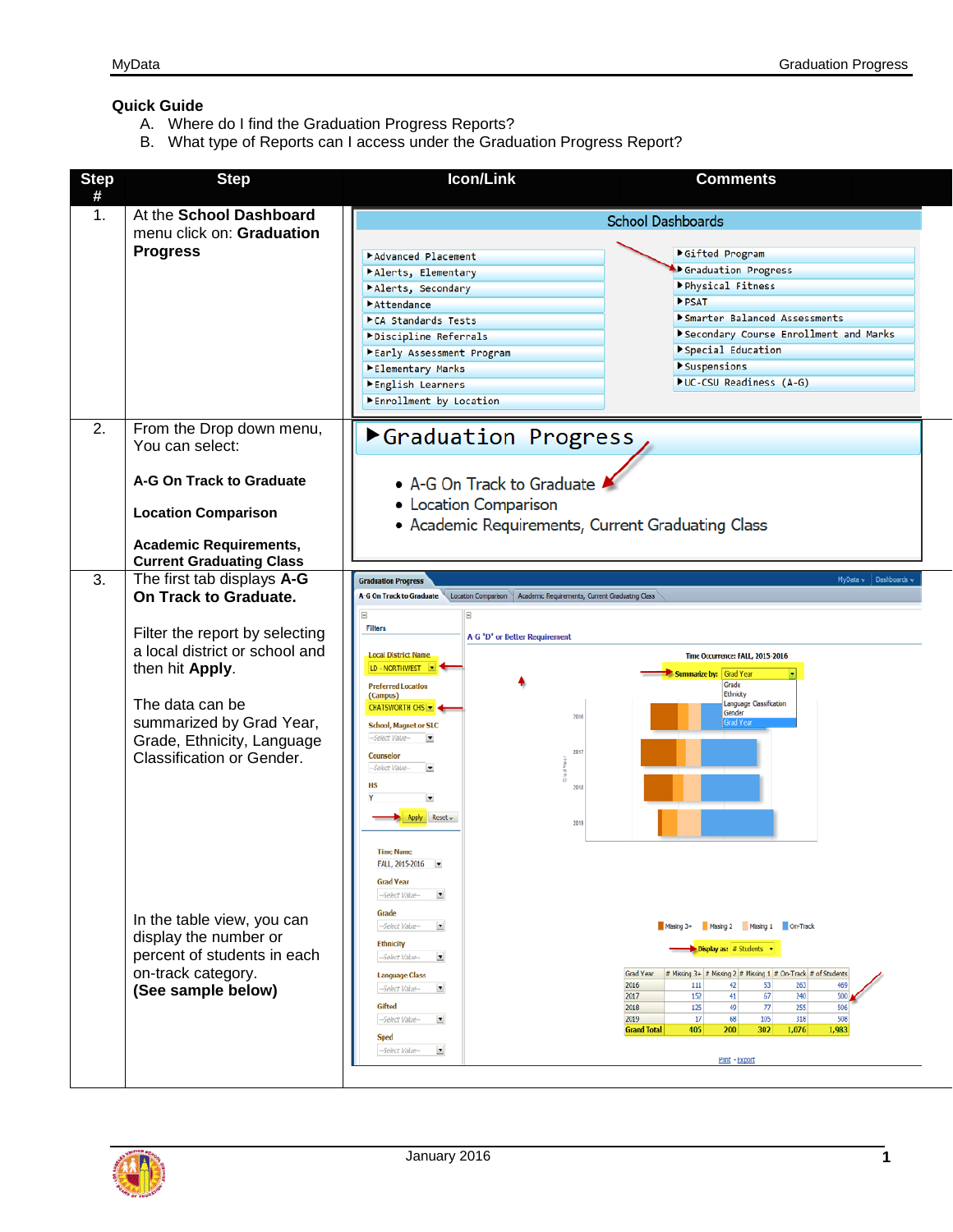## **Quick Guide**

- A. Where do I find the Graduation Progress Reports?
- B. What type of Reports can I access under the Graduation Progress Report?



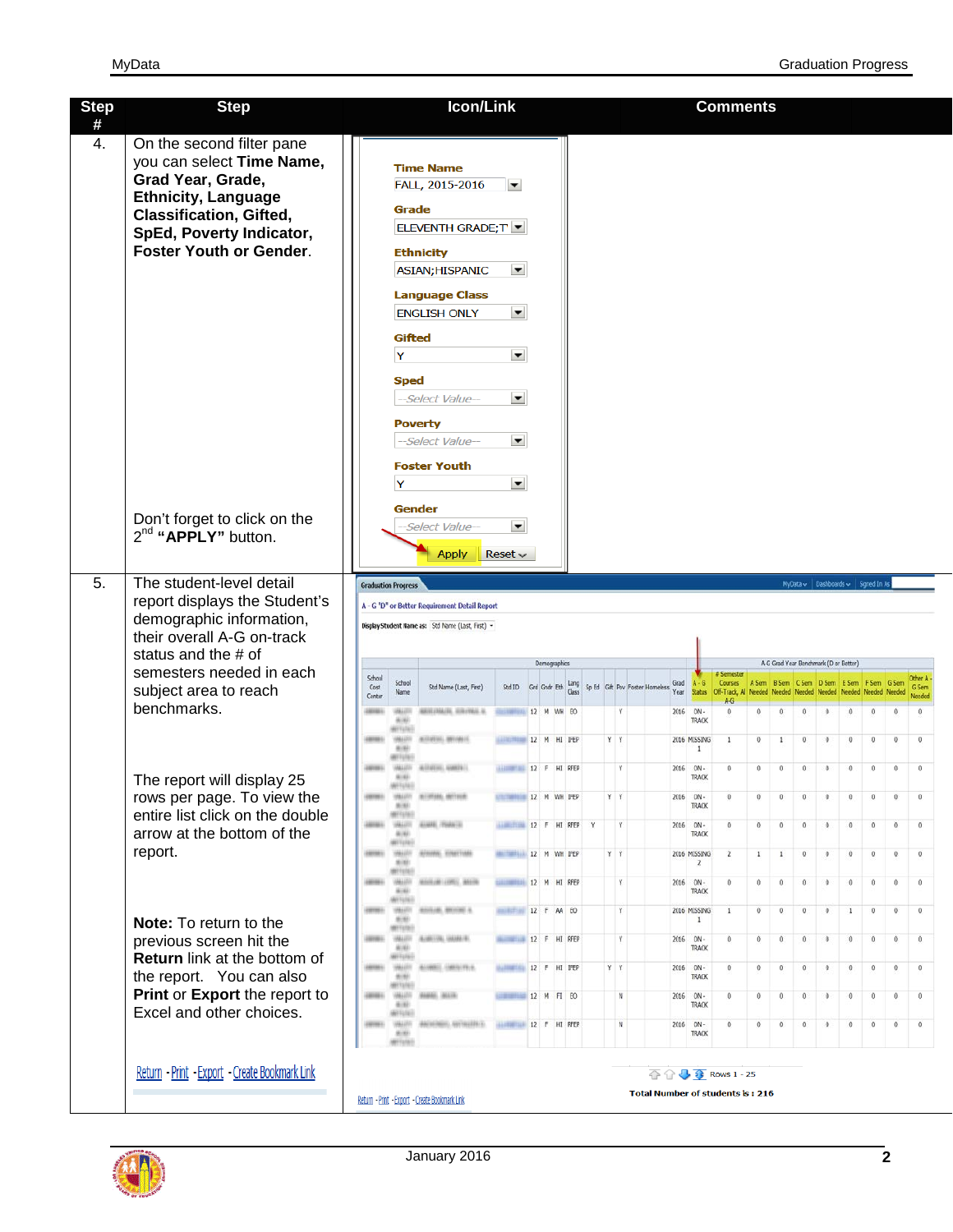| <b>Step</b><br># | <b>Step</b>                                                                                                                                                                                                                                                               |                                                                                                                                                                                                                                    | <b>Icon/Link</b>                                                                                                                                                                                                                                                                                                                                                                                                                                     |                                  |                                                   |            |  |                            |   |                                |      |                                   | <b>Comments</b>                                                                                                                                     |                 |                      |                      |                     |                      |                      |                     |                            |
|------------------|---------------------------------------------------------------------------------------------------------------------------------------------------------------------------------------------------------------------------------------------------------------------------|------------------------------------------------------------------------------------------------------------------------------------------------------------------------------------------------------------------------------------|------------------------------------------------------------------------------------------------------------------------------------------------------------------------------------------------------------------------------------------------------------------------------------------------------------------------------------------------------------------------------------------------------------------------------------------------------|----------------------------------|---------------------------------------------------|------------|--|----------------------------|---|--------------------------------|------|-----------------------------------|-----------------------------------------------------------------------------------------------------------------------------------------------------|-----------------|----------------------|----------------------|---------------------|----------------------|----------------------|---------------------|----------------------------|
| 4.               | On the second filter pane<br>you can select Time Name,<br>Grad Year, Grade,<br><b>Ethnicity, Language</b><br><b>Classification, Gifted,</b><br>SpEd, Poverty Indicator,<br><b>Foster Youth or Gender.</b><br>Don't forget to click on the 2 <sup>nd</sup> "APPLY" button. |                                                                                                                                                                                                                                    | <b>Time Name</b><br>FALL, 2015-2016<br>▾<br>Grade<br>ELEVENTH GRADE; T<br><b>Ethnicity</b><br>$\blacksquare$<br><b>ASIAN; HISPANIC</b><br><b>Language Class</b><br>$\blacktriangledown$<br><b>ENGLISH ONLY</b><br>Gifted<br>Y<br>$\overline{\phantom{a}}$<br><b>Sped</b><br>▼<br>--Select Value--<br><b>Poverty</b><br>▼<br>--Select Value--<br><b>Foster Youth</b><br>$\blacktriangledown$<br>Y<br>Gender<br>$\blacktriangledown$<br>Select Value-- |                                  |                                                   |            |  |                            |   |                                |      |                                   |                                                                                                                                                     |                 |                      |                      |                     |                      |                      |                     |                            |
|                  |                                                                                                                                                                                                                                                                           |                                                                                                                                                                                                                                    |                                                                                                                                                                                                                                                                                                                                                                                                                                                      | <b>Apply</b>                     | Reset                                             |            |  |                            |   |                                |      |                                   |                                                                                                                                                     |                 |                      |                      |                     |                      |                      |                     |                            |
| 5.               | The student-level detail<br>report displays the Student's<br>demographic information,<br>their overall A-G on-track<br>status and the # of                                                                                                                                | MyData v   Dashboards v   Signed In As<br><b>Graduation Progress</b><br>A - G "D" or Better Requirement Detail Report<br>Display Student Name as: Std Name (Last, Frst) -<br>A-G Grad Year Benchmark (D or Better)<br>Demographics |                                                                                                                                                                                                                                                                                                                                                                                                                                                      |                                  |                                                   |            |  |                            |   |                                |      |                                   |                                                                                                                                                     |                 |                      |                      |                     |                      |                      |                     |                            |
|                  | semesters needed in each<br>subject area to reach                                                                                                                                                                                                                         | School<br>Cost                                                                                                                                                                                                                     | School<br>Name                                                                                                                                                                                                                                                                                                                                                                                                                                       | Std Name (Last, First)           | Std ID                                            |            |  | Grd Gndr Eth Lang<br>Class |   | Sp Ed Gift Pov Foster Homeless | Year |                                   | # Semester<br>Grad A - G Courses A Sem B Sem C Sem D Sem E Sem F Sem G Sem<br>Status Off-Track, Al Needed Needed Needed Needed Needed Needed Needed |                 |                      |                      |                     |                      |                      |                     | Other A<br>G Sem<br>Needed |
|                  | benchmarks.                                                                                                                                                                                                                                                               | Center                                                                                                                                                                                                                             |                                                                                                                                                                                                                                                                                                                                                                                                                                                      | <b><i>BIRTHAIR, BRYME-K.</i></b> | <b>ELEMENTER 12 M WH EO</b>                       |            |  |                            |   | Y                              |      | 2016 ON-                          | $A-G$                                                                                                                                               | $\theta$        | $\theta$             | $\theta$             | $\theta$            | $\mathbf{0}$         | $\theta$             | $\mathbf{0}$        | $\theta$                   |
|                  |                                                                                                                                                                                                                                                                           |                                                                                                                                                                                                                                    | 6.92                                                                                                                                                                                                                                                                                                                                                                                                                                                 | MITHERS, INVINCE.                | <b>MILLIED 12 M HI IFEP</b>                       |            |  |                            |   | YY                             |      | <b>TRACK</b><br>2016 MISSING<br>1 | $\mathbf{1}$                                                                                                                                        | $\mathbf{0}$    | $\mathbf{1}$         | $\sigma$             | $\theta$            | $\theta$             | $\theta$             | $\theta$            | $\theta$                   |
|                  | The report will display 25                                                                                                                                                                                                                                                |                                                                                                                                                                                                                                    |                                                                                                                                                                                                                                                                                                                                                                                                                                                      | MONTHL AMERIC                    | <b>ALARMANIAN 12 F HI RFEP</b>                    |            |  |                            |   | $\gamma$                       |      | 2016 ON-<br>TRACK                 | $\mathbf{0}$                                                                                                                                        | $\ddot{\theta}$ | $\theta$             | $_{\rm 0}$           | $\theta$            | $\ddot{\theta}$      | $\theta$             | $\theta$            | $0$                        |
|                  | rows per page. To view the                                                                                                                                                                                                                                                |                                                                                                                                                                                                                                    | <b>WITHREE</b><br><b>URLERY</b><br>650                                                                                                                                                                                                                                                                                                                                                                                                               | <b>WINFIRM, WITHOUT</b>          | <b>MILITARRATION 12 M WH IFEP</b>                 |            |  |                            |   | YY                             |      | 2016 ON-<br>TRACK                 | $\ddot{0}$                                                                                                                                          | $\bf{0}$        | $\theta$             | $\mathbf{0}$         | $\theta$            | $\theta$             | $\overline{0}$       | $0$                 | $\cdot$ 0                  |
|                  | entire list click on the double<br>arrow at the bottom of the                                                                                                                                                                                                             |                                                                                                                                                                                                                                    | <b>MESSED</b><br>MARTIN<br>(6)(6)                                                                                                                                                                                                                                                                                                                                                                                                                    | ALMAR, PEANTS                    | <b>MARITIME 12 F HI RFEP</b>                      |            |  |                            | Y | $\Upsilon$                     |      | 2016 ON-<br>TRACK                 | $0$                                                                                                                                                 | $\mathbf 0$     | $\mathbf{0}$         | $\circ$              | $\theta$            | $\ddot{\phantom{0}}$ | $\ddot{\mathbf{0}}$  | $\theta$            | $\mathbf{0}$               |
|                  | report.                                                                                                                                                                                                                                                                   |                                                                                                                                                                                                                                    | <b>MITURE</b><br><b>HALLIS</b>                                                                                                                                                                                                                                                                                                                                                                                                                       | AFRICAL ENGINEERS                | <b>MARKET MARKET DEPARTMENT OF A VALUE OF PEP</b> |            |  |                            |   | $Y$ $Y$                        |      | 2016 MISSING                      | $\overline{2}$                                                                                                                                      | $1\,$           | $\mathbf{1}$         | $\mathbf 0$          | $\theta$            | $\theta$             | $\bf{0}$             | $\theta$            | $\bf{0}$                   |
|                  |                                                                                                                                                                                                                                                                           |                                                                                                                                                                                                                                    | 50,003<br><b>WITCHES</b><br><b>VALUE</b>                                                                                                                                                                                                                                                                                                                                                                                                             | MASSAGE LEMOS, MALIN             | SHIMMING 12 M HI RFEP                             |            |  |                            |   | $\gamma$                       |      | $\mathbf{z}$<br>2016 ON-          | $\theta$                                                                                                                                            | $\mathbf 0$     | $0$                  | $\theta$             | $\theta$            | $\theta$             | $\theta$             | $\mathbf{0}$        | $0$                        |
|                  |                                                                                                                                                                                                                                                                           |                                                                                                                                                                                                                                    | 406<br><b>WITGRE</b><br><b>THURS</b>                                                                                                                                                                                                                                                                                                                                                                                                                 | MARINE, MAYORD &                 | <b>MALE 12 F AA EO</b>                            |            |  |                            |   | $\gamma$                       |      | TRACK<br>2016 MISSING             | $\mathbf{1}$                                                                                                                                        | $\theta$        | $\theta$             | $\mathbf 0$          | $\theta$            | $\mathbf{1}$         | $\circ$              | $\bf 0$             | $\mathbf 0$                |
|                  | Note: To return to the                                                                                                                                                                                                                                                    |                                                                                                                                                                                                                                    | 6.93<br>WITCHES                                                                                                                                                                                                                                                                                                                                                                                                                                      | AMIDLINER.                       |                                                   |            |  |                            |   |                                |      | 1                                 |                                                                                                                                                     |                 |                      |                      |                     |                      |                      |                     |                            |
|                  | previous screen hit the<br>Return link at the bottom of                                                                                                                                                                                                                   |                                                                                                                                                                                                                                    | <b>HALLY</b><br>650<br><b>MITSING</b>                                                                                                                                                                                                                                                                                                                                                                                                                |                                  | 12 F HI RFEP                                      |            |  |                            |   | Y.                             | 2016 | ON-<br>TRACK                      | $\theta$                                                                                                                                            | $\theta$        | 0                    | $\ddot{\phantom{0}}$ | $\theta$            | $\ddot{0}$           | $\ddot{\phantom{0}}$ | $\theta$            | $\theta$                   |
|                  | the report. You can also                                                                                                                                                                                                                                                  |                                                                                                                                                                                                                                    | <b>HALER</b><br>4141<br><b>MITLING</b>                                                                                                                                                                                                                                                                                                                                                                                                               | AUMEL URSUITE                    | <b>BARBINING 12 F HI IFEP</b>                     |            |  |                            |   | YY                             | 2016 | ON-<br>TRACK                      | $\theta$                                                                                                                                            | $\theta$        | $\ddot{\phantom{0}}$ | $\mathbf{0}$         | $\ddot{\mathbf{0}}$ | $\ddot{\phantom{0}}$ | $\ddot{\phantom{0}}$ | $\ddot{\mathbf{0}}$ | $\ddot{\phantom{0}}$       |
|                  | Print or Export the report to<br>Excel and other choices.                                                                                                                                                                                                                 |                                                                                                                                                                                                                                    | VALUE<br>4.41                                                                                                                                                                                                                                                                                                                                                                                                                                        | ANAREL BALIN                     |                                                   | 12 M FI EO |  |                            |   | N                              | 2016 | $ON -$<br>TRACK                   | $\theta$                                                                                                                                            | $\theta$        | $\theta$             | $\theta$             |                     | $\theta$             | $\theta$             | $\theta$            |                            |
|                  |                                                                                                                                                                                                                                                                           |                                                                                                                                                                                                                                    | <b>WFFLFEF</b><br><b>VALUE</b><br>45,663<br><b>WITCHES</b>                                                                                                                                                                                                                                                                                                                                                                                           | MOVING, ROBERT                   | <b>ALLINING 12 F HI RFEP</b>                      |            |  |                            |   | N                              | 2016 | $ON -$<br><b>TRACK</b>            | $\ddot{\mathbf{0}}$                                                                                                                                 | $\theta$        | $\ddot{\phantom{0}}$ | $\mathbf{0}$         | $\theta$            | $\theta$             | $\bf 0$              | $\ddot{\mathbf{0}}$ | $\ddot{\mathbf{0}}$        |
|                  | Return - Print - Export - Create Bookmark Link                                                                                                                                                                                                                            | $\overline{\bigcirc}$ $\bigcirc$ $\overline{\bigcirc}$ Rows 1 - 25<br><b>Total Number of students is: 216</b><br>Return - Print - Export - Create Bookmark Link                                                                    |                                                                                                                                                                                                                                                                                                                                                                                                                                                      |                                  |                                                   |            |  |                            |   |                                |      |                                   |                                                                                                                                                     |                 |                      |                      |                     |                      |                      |                     |                            |

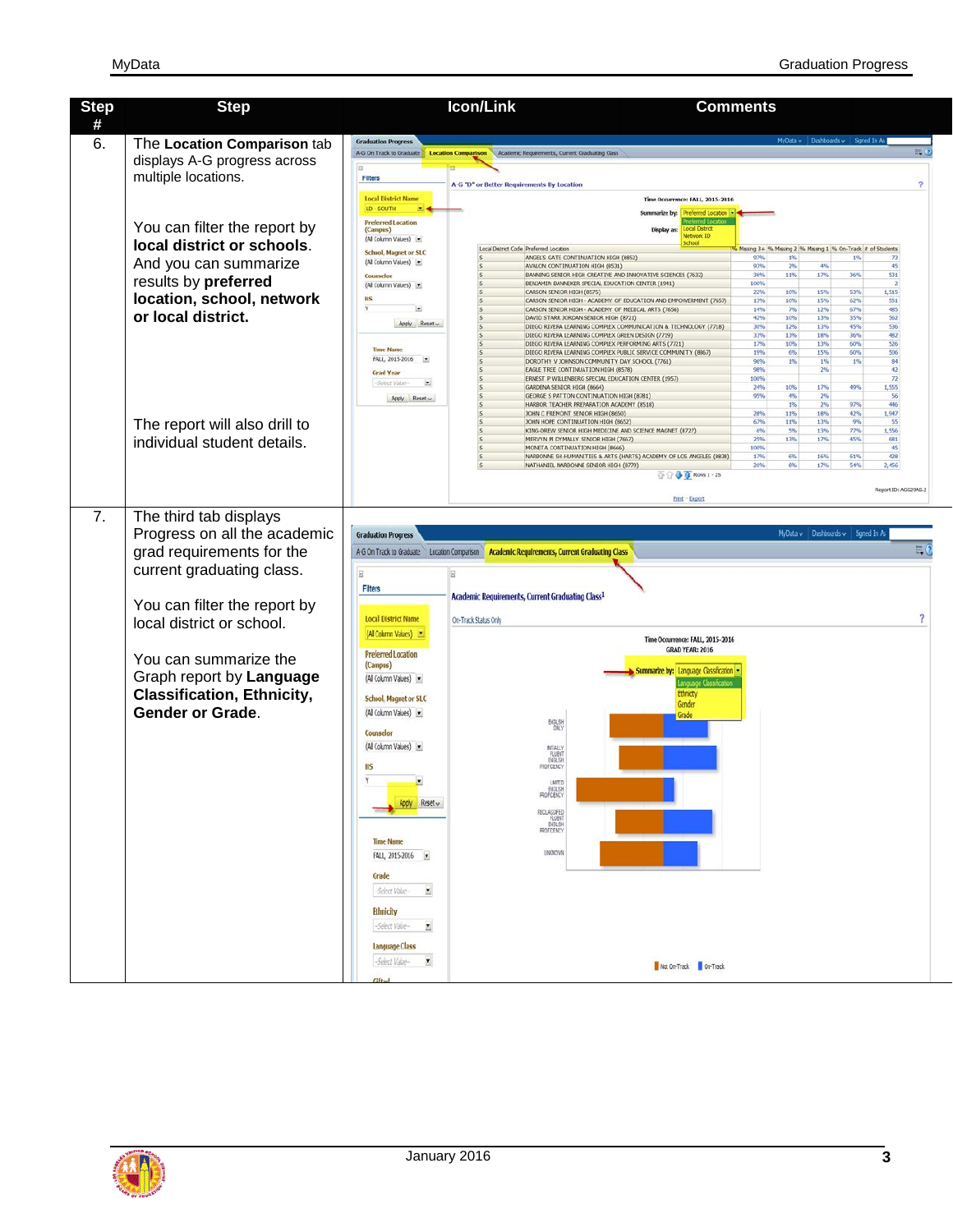| <b>Step</b> | <b>Step</b>                       |                                                      | Icon/Link            | <b>Comments</b>                                                                                                       |                          |                                                             |                          |
|-------------|-----------------------------------|------------------------------------------------------|----------------------|-----------------------------------------------------------------------------------------------------------------------|--------------------------|-------------------------------------------------------------|--------------------------|
| #           |                                   |                                                      |                      |                                                                                                                       |                          |                                                             |                          |
| 6.          | The Location Comparison tab       | <b>Graduation Progress</b>                           |                      | A-G On Track to Graduate   Location Comparison   Academic Requirements, Current Graduating Class                      |                          | MyData v   Dashboards v   Signed In As                      | E(                       |
|             | displays A-G progress across      |                                                      |                      |                                                                                                                       |                          |                                                             |                          |
|             | multiple locations.               | Filters                                              |                      | A-G "D" or Better Requirements By Location                                                                            |                          |                                                             |                          |
|             |                                   | <b>Local District Name</b>                           |                      | Time Occurrence: FALL, 2015-2016                                                                                      |                          |                                                             |                          |
|             |                                   | LD - SOUTH                                           |                      | Summarize by: Preferred Location                                                                                      |                          |                                                             |                          |
|             | You can filter the report by      | <b>Preferred Location</b><br>(Campus)                |                      | <b>Local District</b><br>oisplay as:<br>Network ID                                                                    |                          |                                                             |                          |
|             | local district or schools.        | (Al Column Values) =<br><b>School, Magnet or SLC</b> |                      | School<br>Local District Code Preferred Location                                                                      |                          | Missing 3+ % Missing 2 % Missing 1 % On-Track # of Students |                          |
|             | And you can summarize             | (Al Column Values) =                                 |                      | ANGEL'S GATE CONTINUATION HIGH (8852)<br>AVALON CONTINUATION HIGH (8531)                                              | 97%<br>1%<br>93%<br>2%   | 1%<br>4%                                                    | 73<br>45                 |
|             | results by preferred              | Counselor<br>(All Column Values)                     |                      | BANNING SENIOR HIGH CREATIVE AND INNOVATIVE SCIENCES (7632)<br>BENJAMIN BANNEKER SPECIAL EDUCATION CENTER (1941)      | 36%<br>11%<br>100%       | 17%<br>36%                                                  | 531<br>$\overline{z}$    |
|             | location, school, network         | HS                                                   |                      | CARSON SENIOR HIGH (8575)<br>EDUCATION AND EMPOWERMENT (7657)<br>CARSON SENIOR HIGH<br>- ACADEMY                      | 22%<br>10%<br>13%<br>10% | 15%<br>53%<br>15%<br>62%                                    | 1,515<br>551             |
|             | or local district.                |                                                      |                      | CARSON SENIOR HIGH - ACADEMY OF MEDICAL ARTS (7656                                                                    | 14%<br>7%<br>42%<br>10%  | 12%<br>67%<br>13%<br>35%                                    | 485<br>\$62              |
|             |                                   | Apply Reset -                                        |                      | DIEGO RIVERA LEARNING COMPLEX COMMUNICATION & TECHNOLOGY (7718)<br>DIEGO RIVERA LEARNING COMPLEX GREEN DESIGN (7719)  | 30%<br>12%<br>13%<br>33% | 45%<br>13%<br>18%<br>36%                                    | 536<br>482               |
|             |                                   | <b>Time Name</b>                                     |                      | DIEGO RIVERA LEARNING COMPLEX PERFORMING ARTS (7721)<br>DIEGO RIVERA LEARNING COMPLEX PUBLIC SERVICE COMMUNITY (8867) | 17%<br>10%<br>19%<br>6%  | 13%<br>60%<br>15%<br>60%                                    | 526<br>506               |
|             |                                   | FALL, 2015-2016<br>$\bullet$                         |                      | DOROTHY V JOHNSON COMMUNITY DAY SCHOOL (7761<br>EAGLE TREE CONTINUATION HIGH (8578)                                   | 96%<br>1%<br>98%         | 1%<br>1%<br>2%                                              | 84<br>42                 |
|             |                                   | <b>Grad Year</b><br>-Select Vaire-                   |                      | ERNEST P WILLENBERG SPECIAL<br>GARDENA SENIOR HIGH (8664)                                                             | 100%<br>24%<br>10%       | 17%<br>49%                                                  | $\overline{12}$<br>1,555 |
|             |                                   | Apply Reset ~                                        |                      | GEORGE S PATTON CONTINUATION HIGH (8781)<br>HARBOR TEACHER PREPARATION ACADEMY                                        | 95%<br>4%<br>$1\%$       | 2%<br>2%<br>97%                                             | 56<br>446                |
|             |                                   |                                                      |                      | JOHN C FREMONT SENIOR HIGH (8650)<br>JOHN HOPE CONTINUATION HIGH (8652)                                               | 28%<br>11%<br>67%<br>11% | 18%<br>42%<br>13%<br>9%                                     | 1,947<br>SS              |
|             | The report will also drill to     |                                                      |                      | KING-DREW SENIOR HIGH MEDICINE AND SCIENCE MAGNET (8727)                                                              | 6%<br>5%                 | 13%<br>77%                                                  | 1,556                    |
|             | individual student details.       |                                                      |                      | MERVYN M DYMALLY SENIOR HIGH (766)<br>MONETA CONTINUATION HIGH (8666)                                                 | 25%<br>13%<br>100%       | 17%<br>45%                                                  | 681<br>45                |
|             |                                   |                                                      |                      | NARBONNE SH-HUMANITIES & ARTS (HARTS) ACADEMY OF LOS ANGELES (8838)<br>NATHANIEL NARBONNE SENIOR HIGH (8779)          | 6%<br>17%<br>20%<br>8%   | 16%<br>61%<br>17%<br>54%                                    | 428<br>2,456             |
|             |                                   |                                                      |                      | <b>◆ ◆ ◆ → Rows 1 - 25</b>                                                                                            |                          |                                                             |                          |
|             |                                   |                                                      |                      | <b>Print - Export</b>                                                                                                 |                          |                                                             | Report ID: AGG29AS.2     |
| 7.          | The third tab displays            |                                                      |                      |                                                                                                                       |                          |                                                             |                          |
|             | Progress on all the academic      | <b>Graduation Progress</b>                           |                      |                                                                                                                       |                          | MyData v   Dashboards v   Signed In As                      |                          |
|             | grad requirements for the         | A-G On Track to Graduate   Location Comparison       |                      | <b>Academic Requirements, Current Graduating Class</b>                                                                |                          |                                                             | $E_{\bullet}$            |
|             | current graduating class.         | Ε                                                    |                      |                                                                                                                       |                          |                                                             |                          |
|             |                                   | <b>Filters</b>                                       |                      |                                                                                                                       |                          |                                                             |                          |
|             | You can filter the report by      |                                                      |                      | Academic Requirements, Current Graduating Class <sup>1</sup>                                                          |                          |                                                             |                          |
|             | local district or school.         | <b>Local District Name</b>                           | On-Track Status Only |                                                                                                                       |                          |                                                             |                          |
|             |                                   | (Al Column Values)                                   |                      | Time Occurrence: FALL, 2015-2016                                                                                      |                          |                                                             |                          |
|             | You can summarize the             | <b>Preferred Location</b>                            |                      | GRAD YEAR: 2016                                                                                                       |                          |                                                             |                          |
|             | Graph report by Language          | (Campus)                                             |                      | Summarize by: Language Classification                                                                                 |                          |                                                             |                          |
|             | <b>Classification, Ethnicity,</b> | (Al Column Values) =                                 |                      | anquage Classification<br>Ethnicity                                                                                   |                          |                                                             |                          |
|             | <b>Gender or Grade.</b>           | <b>School, Magnet or SLC</b>                         |                      | Gender                                                                                                                |                          |                                                             |                          |
|             |                                   | (Al Column Values) •                                 |                      | Grade<br>ENGLISH                                                                                                      |                          |                                                             |                          |
|             |                                   | Counselor                                            |                      |                                                                                                                       |                          |                                                             |                          |
|             |                                   | (Al Column Values)                                   |                      | NEALLY<br><b>RUBIT</b>                                                                                                |                          |                                                             |                          |
|             |                                   | HS                                                   |                      | <b>FROFICENC</b>                                                                                                      |                          |                                                             |                          |
|             |                                   |                                                      |                      | 1,8877<br><b>FM2 F2</b><br>PROFICENCY                                                                                 |                          |                                                             |                          |
|             |                                   | Apply Reset v                                        |                      | RECLASSIFIED                                                                                                          |                          |                                                             |                          |
|             |                                   |                                                      |                      | RUBIT<br>PROFICENCY                                                                                                   |                          |                                                             |                          |
|             |                                   | <b>Time Name</b>                                     |                      |                                                                                                                       |                          |                                                             |                          |
|             |                                   | FALL, 2015-2016                                      |                      | <b>ENROYCIVIN</b>                                                                                                     |                          |                                                             |                          |
|             |                                   | Grade                                                |                      |                                                                                                                       |                          |                                                             |                          |
|             |                                   | -Seinet Value-<br>$\overline{\mathbf{z}}$            |                      |                                                                                                                       |                          |                                                             |                          |
|             |                                   | <b>Ethnicity</b>                                     |                      |                                                                                                                       |                          |                                                             |                          |
|             |                                   | -Select Value-<br>×                                  |                      |                                                                                                                       |                          |                                                             |                          |
|             |                                   | Language Class                                       |                      |                                                                                                                       |                          |                                                             |                          |
|             |                                   | -Select Value-<br>$\overline{\mathbf{r}}$            |                      |                                                                                                                       |                          |                                                             |                          |
|             |                                   |                                                      |                      | Not On-Track On-Track                                                                                                 |                          |                                                             |                          |